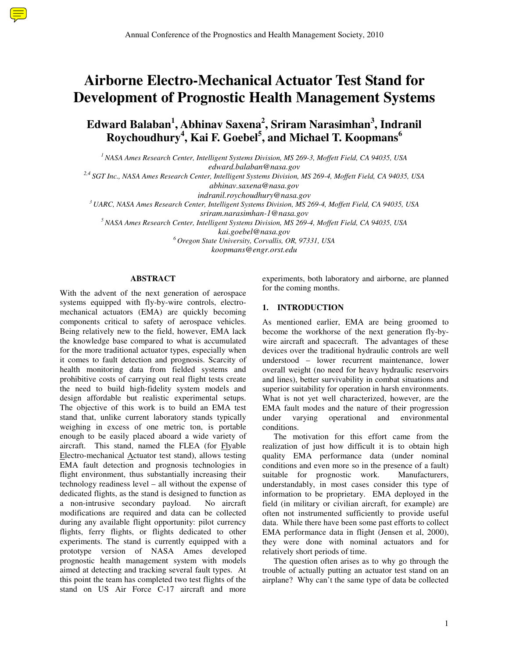# **Airborne Electro-Mechanical Actuator Test Stand for Development of Prognostic Health Management Systems**

**Edward Balaban<sup>1</sup> , Abhinav Saxena<sup>2</sup> , Sriram Narasimhan<sup>3</sup> , Indranil Roychoudhury<sup>4</sup> , Kai F. Goebel<sup>5</sup> , and Michael T. Koopmans<sup>6</sup>**

*<sup>1</sup>NASA Ames Research Center, Intelligent Systems Division, MS 269-3, Moffett Field, CA 94035, USA edward.balaban@nasa.gov* 

*2,4 SGT Inc., NASA Ames Research Center, Intelligent Systems Division, MS 269-4, Moffett Field, CA 94035, USA* 

*indranil.roychoudhury@nasa.gov* 

*<sup>3</sup>UARC, NASA Ames Research Center, Intelligent Systems Division, MS 269-4, Moffett Field, CA 94035, USA* 

*sriram.narasimhan-1@nasa.gov* 

*<sup>5</sup>NASA Ames Research Center, Intelligent Systems Division, MS 269-4, Moffett Field, CA 94035, USA* 

*kai.goebel@nasa.gov* 

*<sup>6</sup>Oregon State University, Corvallis, OR, 97331, USA* 

*koopmans@engr.orst.edu* 

## **ABSTRACT**

With the advent of the next generation of aerospace systems equipped with fly-by-wire controls, electromechanical actuators (EMA) are quickly becoming components critical to safety of aerospace vehicles. Being relatively new to the field, however, EMA lack the knowledge base compared to what is accumulated for the more traditional actuator types, especially when it comes to fault detection and prognosis. Scarcity of health monitoring data from fielded systems and prohibitive costs of carrying out real flight tests create the need to build high-fidelity system models and design affordable but realistic experimental setups. The objective of this work is to build an EMA test stand that, unlike current laboratory stands typically weighing in excess of one metric ton, is portable enough to be easily placed aboard a wide variety of aircraft. This stand, named the FLEA (for Flyable Electro-mechanical Actuator test stand), allows testing EMA fault detection and prognosis technologies in flight environment, thus substantially increasing their technology readiness level – all without the expense of dedicated flights, as the stand is designed to function as a non-intrusive secondary payload. No aircraft modifications are required and data can be collected during any available flight opportunity: pilot currency flights, ferry flights, or flights dedicated to other experiments. The stand is currently equipped with a prototype version of NASA Ames developed prognostic health management system with models aimed at detecting and tracking several fault types. At this point the team has completed two test flights of the stand on US Air Force C-17 aircraft and more

experiments, both laboratory and airborne, are planned for the coming months.

## **1. INTRODUCTION**

As mentioned earlier, EMA are being groomed to become the workhorse of the next generation fly-bywire aircraft and spacecraft. The advantages of these devices over the traditional hydraulic controls are well understood – lower recurrent maintenance, lower overall weight (no need for heavy hydraulic reservoirs and lines), better survivability in combat situations and superior suitability for operation in harsh environments. What is not yet well characterized, however, are the EMA fault modes and the nature of their progression under varying operational and environmental conditions.

 The motivation for this effort came from the realization of just how difficult it is to obtain high quality EMA performance data (under nominal conditions and even more so in the presence of a fault) suitable for prognostic work. Manufacturers, understandably, in most cases consider this type of information to be proprietary. EMA deployed in the field (in military or civilian aircraft, for example) are often not instrumented sufficiently to provide useful data. While there have been some past efforts to collect EMA performance data in flight (Jensen et al, 2000), they were done with nominal actuators and for relatively short periods of time.

 The question often arises as to why go through the trouble of actually putting an actuator test stand on an airplane? Why can't the same type of data be collected

*abhinav.saxena@nasa.gov*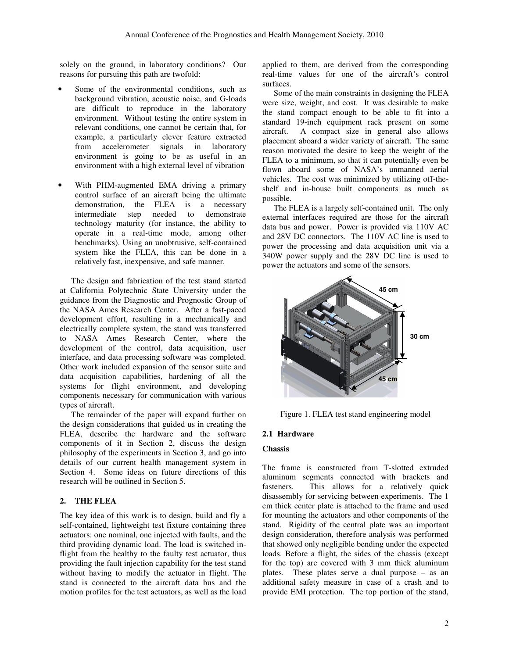solely on the ground, in laboratory conditions? Our reasons for pursuing this path are twofold:

- Some of the environmental conditions, such as background vibration, acoustic noise, and G-loads are difficult to reproduce in the laboratory environment. Without testing the entire system in relevant conditions, one cannot be certain that, for example, a particularly clever feature extracted from accelerometer signals in laboratory environment is going to be as useful in an environment with a high external level of vibration
- With PHM-augmented EMA driving a primary control surface of an aircraft being the ultimate demonstration, the FLEA is a necessary intermediate step needed to demonstrate technology maturity (for instance, the ability to operate in a real-time mode, among other benchmarks). Using an unobtrusive, self-contained system like the FLEA, this can be done in a relatively fast, inexpensive, and safe manner.

 The design and fabrication of the test stand started at California Polytechnic State University under the guidance from the Diagnostic and Prognostic Group of the NASA Ames Research Center. After a fast-paced development effort, resulting in a mechanically and electrically complete system, the stand was transferred to NASA Ames Research Center, where the development of the control, data acquisition, user interface, and data processing software was completed. Other work included expansion of the sensor suite and data acquisition capabilities, hardening of all the systems for flight environment, and developing components necessary for communication with various types of aircraft.

 The remainder of the paper will expand further on the design considerations that guided us in creating the FLEA, describe the hardware and the software components of it in Section 2, discuss the design philosophy of the experiments in Section 3, and go into details of our current health management system in Section 4. Some ideas on future directions of this research will be outlined in Section 5.

#### **2. THE FLEA**

The key idea of this work is to design, build and fly a self-contained, lightweight test fixture containing three actuators: one nominal, one injected with faults, and the third providing dynamic load. The load is switched inflight from the healthy to the faulty test actuator, thus providing the fault injection capability for the test stand without having to modify the actuator in flight. The stand is connected to the aircraft data bus and the motion profiles for the test actuators, as well as the load

applied to them, are derived from the corresponding real-time values for one of the aircraft's control surfaces.

 Some of the main constraints in designing the FLEA were size, weight, and cost. It was desirable to make the stand compact enough to be able to fit into a standard 19-inch equipment rack present on some aircraft. A compact size in general also allows placement aboard a wider variety of aircraft. The same reason motivated the desire to keep the weight of the FLEA to a minimum, so that it can potentially even be flown aboard some of NASA's unmanned aerial vehicles. The cost was minimized by utilizing off-theshelf and in-house built components as much as possible.

 The FLEA is a largely self-contained unit. The only external interfaces required are those for the aircraft data bus and power. Power is provided via 110V AC and 28V DC connectors. The 110V AC line is used to power the processing and data acquisition unit via a 340W power supply and the 28V DC line is used to power the actuators and some of the sensors.



Figure 1. FLEA test stand engineering model

# **2.1 Hardware**

# **Chassis**

The frame is constructed from T-slotted extruded aluminum segments connected with brackets and fasteners. This allows for a relatively quick disassembly for servicing between experiments. The 1 cm thick center plate is attached to the frame and used for mounting the actuators and other components of the stand. Rigidity of the central plate was an important design consideration, therefore analysis was performed that showed only negligible bending under the expected loads. Before a flight, the sides of the chassis (except for the top) are covered with 3 mm thick aluminum plates. These plates serve a dual purpose – as an additional safety measure in case of a crash and to provide EMI protection. The top portion of the stand,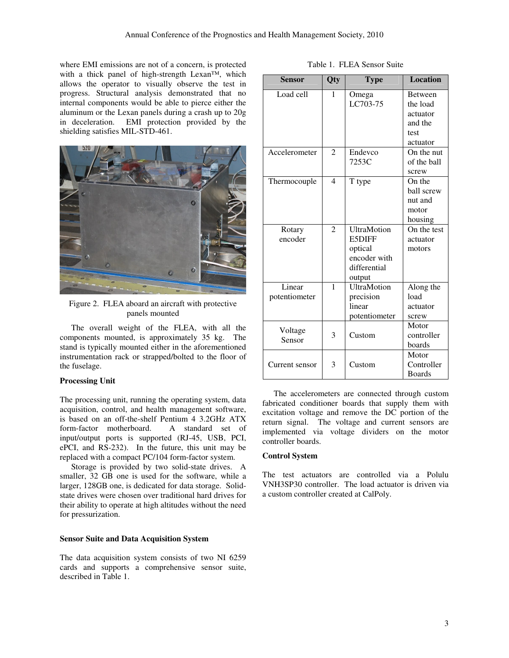where EMI emissions are not of a concern, is protected with a thick panel of high-strength Lexan™, which allows the operator to visually observe the test in progress. Structural analysis demonstrated that no internal components would be able to pierce either the aluminum or the Lexan panels during a crash up to 20g in deceleration. EMI protection provided by the shielding satisfies MIL-STD-461.



Figure 2. FLEA aboard an aircraft with protective panels mounted

 The overall weight of the FLEA, with all the components mounted, is approximately 35 kg. The stand is typically mounted either in the aforementioned instrumentation rack or strapped/bolted to the floor of the fuselage.

#### **Processing Unit**

The processing unit, running the operating system, data acquisition, control, and health management software, is based on an off-the-shelf Pentium 4 3.2GHz ATX form-factor motherboard. A standard set of input/output ports is supported (RJ-45, USB, PCI, ePCI, and RS-232). In the future, this unit may be replaced with a compact PC/104 form-factor system.

 Storage is provided by two solid-state drives. A smaller, 32 GB one is used for the software, while a larger, 128GB one, is dedicated for data storage. Solidstate drives were chosen over traditional hard drives for their ability to operate at high altitudes without the need for pressurization.

## **Sensor Suite and Data Acquisition System**

The data acquisition system consists of two NI 6259 cards and supports a comprehensive sensor suite, described in Table 1.

| <b>Sensor</b>  | Qty            | <b>Type</b>        | <b>Location</b> |
|----------------|----------------|--------------------|-----------------|
| Load cell      | 1              | Omega              | Between         |
|                |                | LC703-75           | the load        |
|                |                |                    | actuator        |
|                |                |                    | and the         |
|                |                |                    | test            |
|                |                |                    | actuator        |
| Accelerometer  | $\overline{c}$ | Endevco            | On the nut      |
|                |                | 7253C              | of the ball     |
|                |                |                    | screw           |
| Thermocouple   | 4              | T type             | On the          |
|                |                |                    | ball screw      |
|                |                |                    | nut and         |
|                |                |                    | motor           |
|                |                |                    | housing         |
| Rotary         | 2              | <b>UltraMotion</b> | On the test     |
| encoder        |                | <b>E5DIFF</b>      | actuator        |
|                |                | optical            | motors          |
|                |                | encoder with       |                 |
|                |                | differential       |                 |
|                |                | output             |                 |
| Linear         | 1              | <b>UltraMotion</b> | Along the       |
| potentiometer  |                | precision          | load            |
|                |                | linear             | actuator        |
|                |                | potentiometer      | screw           |
| Voltage        |                |                    | Motor           |
| Sensor         | 3              | Custom             | controller      |
|                |                |                    | boards          |
|                |                |                    | Motor           |
| Current sensor | 3              | Custom             | Controller      |
|                |                |                    | <b>Boards</b>   |

 The accelerometers are connected through custom fabricated conditioner boards that supply them with excitation voltage and remove the DC portion of the return signal. The voltage and current sensors are implemented via voltage dividers on the motor controller boards.

#### **Control System**

The test actuators are controlled via a Polulu VNH3SP30 controller. The load actuator is driven via a custom controller created at CalPoly.

| Table 1. FLEA Sensor Suite |  |
|----------------------------|--|
|----------------------------|--|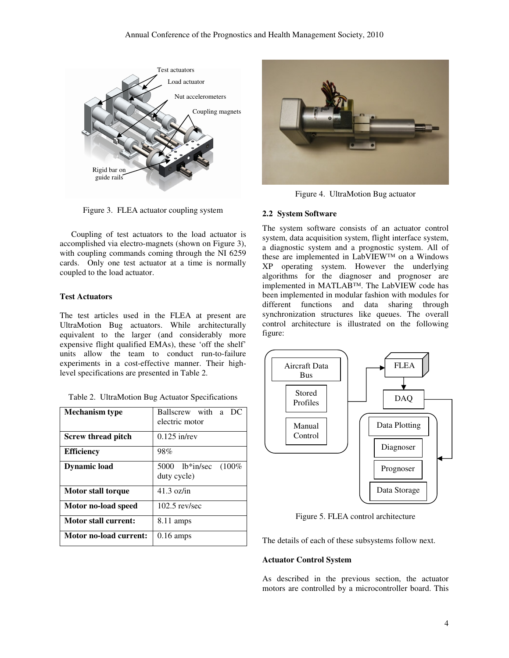

Figure 3. FLEA actuator coupling system

 Coupling of test actuators to the load actuator is accomplished via electro-magnets (shown on Figure 3), with coupling commands coming through the NI 6259 cards. Only one test actuator at a time is normally coupled to the load actuator.

# **Test Actuators**

The test articles used in the FLEA at present are UltraMotion Bug actuators. While architecturally equivalent to the larger (and considerably more expensive flight qualified EMAs), these 'off the shelf' units allow the team to conduct run-to-failure experiments in a cost-effective manner. Their highlevel specifications are presented in Table 2.

|  |  |  | Table 2. UltraMotion Bug Actuator Specifications |
|--|--|--|--------------------------------------------------|
|--|--|--|--------------------------------------------------|

| <b>Mechanism type</b>       | Ballscrew with a DC<br>electric motor       |
|-----------------------------|---------------------------------------------|
| Screw thread pitch          | $0.125$ in/rev                              |
| <b>Efficiency</b>           | 98%                                         |
| <b>Dynamic load</b>         | $5000$ lb*in/sec<br>$(100\%$<br>duty cycle) |
| Motor stall torque          | $41.3 \text{ oz/in}$                        |
| Motor no-load speed         | $102.5$ rev/sec                             |
| <b>Motor stall current:</b> | 8.11 amps                                   |
| Motor no-load current:      | $0.16 \text{ amps}$                         |



Figure 4. UltraMotion Bug actuator

## **2.2 System Software**

The system software consists of an actuator control system, data acquisition system, flight interface system, a diagnostic system and a prognostic system. All of these are implemented in LabVIEW™ on a Windows XP operating system. However the underlying algorithms for the diagnoser and prognoser are implemented in MATLAB™. The LabVIEW code has been implemented in modular fashion with modules for different functions and data sharing through synchronization structures like queues. The overall control architecture is illustrated on the following figure:



Figure 5. FLEA control architecture

The details of each of these subsystems follow next.

# **Actuator Control System**

As described in the previous section, the actuator motors are controlled by a microcontroller board. This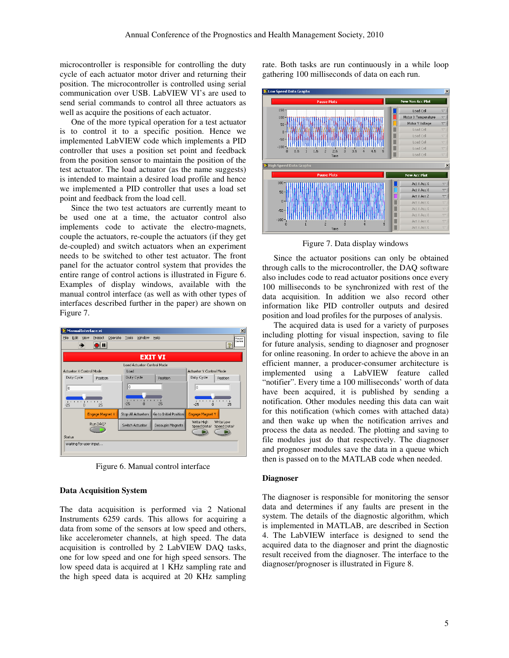microcontroller is responsible for controlling the duty cycle of each actuator motor driver and returning their position. The microcontroller is controlled using serial communication over USB. LabVIEW VI's are used to send serial commands to control all three actuators as well as acquire the positions of each actuator.

 One of the more typical operation for a test actuator is to control it to a specific position. Hence we implemented LabVIEW code which implements a PID controller that uses a position set point and feedback from the position sensor to maintain the position of the test actuator. The load actuator (as the name suggests) is intended to maintain a desired load profile and hence we implemented a PID controller that uses a load set point and feedback from the load cell.

 Since the two test actuators are currently meant to be used one at a time, the actuator control also implements code to activate the electro-magnets, couple the actuators, re-couple the actuators (if they get de-coupled) and switch actuators when an experiment needs to be switched to other test actuator. The front panel for the actuator control system that provides the entire range of control actions is illustrated in Figure 6. Examples of display windows, available with the manual control interface (as well as with other types of interfaces described further in the paper) are shown on Figure 7.

|                  |                                 |                     | ManualInterface.vi      |         |                 |                            |                            |                              | $\vert x \vert$                                 |
|------------------|---------------------------------|---------------------|-------------------------|---------|-----------------|----------------------------|----------------------------|------------------------------|-------------------------------------------------|
| Eile             | Edit                            | View                | Project                 | Operate | Tools           | Window                     | Help                       |                              | Manuel<br>Control                               |
|                  | ⊪,                              |                     |                         |         |                 |                            |                            |                              | ?                                               |
|                  |                                 |                     |                         |         |                 |                            | <b>EXIT VI</b>             |                              |                                                 |
|                  |                                 |                     |                         |         |                 |                            | Load Actuator Control Mode |                              |                                                 |
|                  |                                 |                     | Actuator X Control Mode |         | Load            |                            |                            | Actuator Y Control Mode      |                                                 |
|                  | Duty Cycle                      |                     | Position                |         | Duty Cycle      |                            | Position                   | Duty Cycle                   | Position                                        |
| ۱o               |                                 |                     |                         |         | ۱o              |                            |                            | In                           |                                                 |
| $1 - 1$<br>$-25$ | $\mathbf{r}=\mathbf{r}$<br>- 11 | $\blacksquare$<br>n | 25                      |         | $-25$           | 10000100<br>$\overline{0}$ | 25                         | 1000000<br>$-25$<br>$\Omega$ | $\mathbf{1}=\mathbf{1}$ .<br>$\mathbf{1}$<br>25 |
|                  |                                 |                     | Engage Magnet X         |         |                 | Stop All Actuators         | Go to Initial Position     | Engage Magnet Y              |                                                 |
|                  |                                 |                     | Run DAQ?                |         | Switch Actuator |                            | Decouple Magnets           | Write High<br>Speed Data?    | Write Low<br>Speed Data?                        |
| Status           |                                 |                     |                         |         |                 |                            |                            |                              |                                                 |
|                  |                                 |                     | Waiting for user input  |         |                 |                            |                            |                              |                                                 |

Figure 6. Manual control interface

#### **Data Acquisition System**

The data acquisition is performed via 2 National Instruments 6259 cards. This allows for acquiring a data from some of the sensors at low speed and others, like accelerometer channels, at high speed. The data acquisition is controlled by 2 LabVIEW DAQ tasks, one for low speed and one for high speed sensors. The low speed data is acquired at 1 KHz sampling rate and the high speed data is acquired at 20 KHz sampling rate. Both tasks are run continuously in a while loop gathering 100 milliseconds of data on each run.



Figure 7. Data display windows

 Since the actuator positions can only be obtained through calls to the microcontroller, the DAQ software also includes code to read actuator positions once every 100 milliseconds to be synchronized with rest of the data acquisition. In addition we also record other information like PID controller outputs and desired position and load profiles for the purposes of analysis.

 The acquired data is used for a variety of purposes including plotting for visual inspection, saving to file for future analysis, sending to diagnoser and prognoser for online reasoning. In order to achieve the above in an efficient manner, a producer-consumer architecture is implemented using a LabVIEW feature called "notifier". Every time a 100 milliseconds' worth of data have been acquired, it is published by sending a notification. Other modules needing this data can wait for this notification (which comes with attached data) and then wake up when the notification arrives and process the data as needed. The plotting and saving to file modules just do that respectively. The diagnoser and prognoser modules save the data in a queue which then is passed on to the MATLAB code when needed.

#### **Diagnoser**

The diagnoser is responsible for monitoring the sensor data and determines if any faults are present in the system. The details of the diagnostic algorithm, which is implemented in MATLAB, are described in Section 4. The LabVIEW interface is designed to send the acquired data to the diagnoser and print the diagnostic result received from the diagnoser. The interface to the diagnoser/prognoser is illustrated in Figure 8.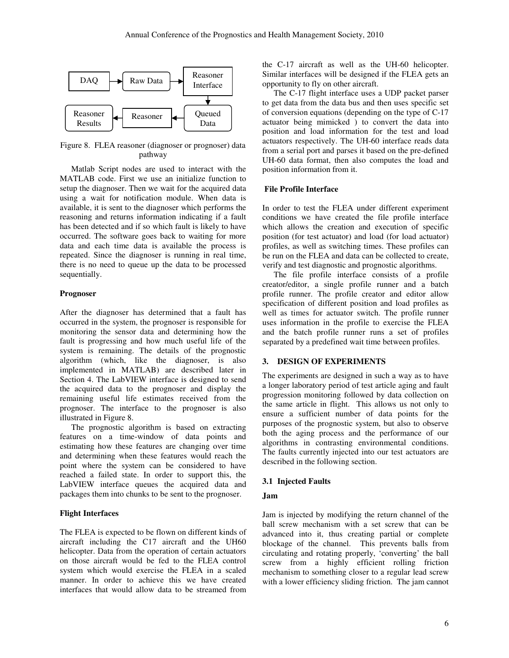

Figure 8. FLEA reasoner (diagnoser or prognoser) data pathway

 Matlab Script nodes are used to interact with the MATLAB code. First we use an initialize function to setup the diagnoser. Then we wait for the acquired data using a wait for notification module. When data is available, it is sent to the diagnoser which performs the reasoning and returns information indicating if a fault has been detected and if so which fault is likely to have occurred. The software goes back to waiting for more data and each time data is available the process is repeated. Since the diagnoser is running in real time, there is no need to queue up the data to be processed sequentially.

#### **Prognoser**

After the diagnoser has determined that a fault has occurred in the system, the prognoser is responsible for monitoring the sensor data and determining how the fault is progressing and how much useful life of the system is remaining. The details of the prognostic algorithm (which, like the diagnoser, is also implemented in MATLAB) are described later in Section 4. The LabVIEW interface is designed to send the acquired data to the prognoser and display the remaining useful life estimates received from the prognoser. The interface to the prognoser is also illustrated in Figure 8.

 The prognostic algorithm is based on extracting features on a time-window of data points and estimating how these features are changing over time and determining when these features would reach the point where the system can be considered to have reached a failed state. In order to support this, the LabVIEW interface queues the acquired data and packages them into chunks to be sent to the prognoser.

#### **Flight Interfaces**

The FLEA is expected to be flown on different kinds of aircraft including the C17 aircraft and the UH60 helicopter. Data from the operation of certain actuators on those aircraft would be fed to the FLEA control system which would exercise the FLEA in a scaled manner. In order to achieve this we have created interfaces that would allow data to be streamed from

the C-17 aircraft as well as the UH-60 helicopter. Similar interfaces will be designed if the FLEA gets an opportunity to fly on other aircraft.

 The C-17 flight interface uses a UDP packet parser to get data from the data bus and then uses specific set of conversion equations (depending on the type of C-17 actuator being mimicked ) to convert the data into position and load information for the test and load actuators respectively. The UH-60 interface reads data from a serial port and parses it based on the pre-defined UH-60 data format, then also computes the load and position information from it.

#### **File Profile Interface**

In order to test the FLEA under different experiment conditions we have created the file profile interface which allows the creation and execution of specific position (for test actuator) and load (for load actuator) profiles, as well as switching times. These profiles can be run on the FLEA and data can be collected to create, verify and test diagnostic and prognostic algorithms.

 The file profile interface consists of a profile creator/editor, a single profile runner and a batch profile runner. The profile creator and editor allow specification of different position and load profiles as well as times for actuator switch. The profile runner uses information in the profile to exercise the FLEA and the batch profile runner runs a set of profiles separated by a predefined wait time between profiles.

# **3. DESIGN OF EXPERIMENTS**

The experiments are designed in such a way as to have a longer laboratory period of test article aging and fault progression monitoring followed by data collection on the same article in flight. This allows us not only to ensure a sufficient number of data points for the purposes of the prognostic system, but also to observe both the aging process and the performance of our algorithms in contrasting environmental conditions. The faults currently injected into our test actuators are described in the following section.

### **3.1 Injected Faults**

#### **Jam**

Jam is injected by modifying the return channel of the ball screw mechanism with a set screw that can be advanced into it, thus creating partial or complete blockage of the channel. This prevents balls from circulating and rotating properly, 'converting' the ball screw from a highly efficient rolling friction mechanism to something closer to a regular lead screw with a lower efficiency sliding friction. The jam cannot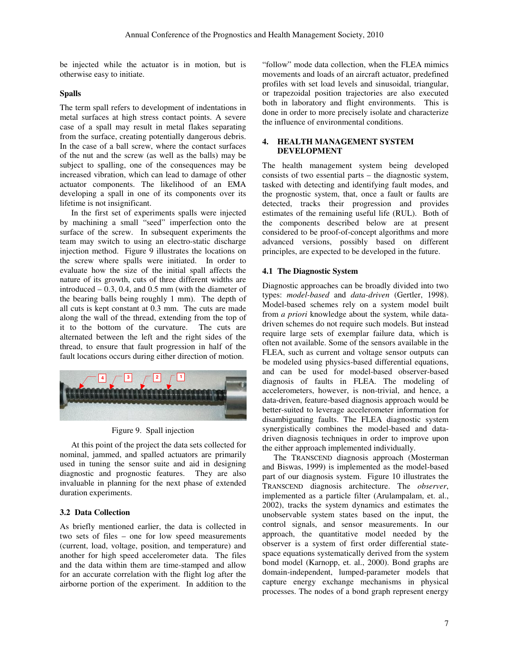be injected while the actuator is in motion, but is otherwise easy to initiate.

## **Spalls**

The term spall refers to development of indentations in metal surfaces at high stress contact points. A severe case of a spall may result in metal flakes separating from the surface, creating potentially dangerous debris. In the case of a ball screw, where the contact surfaces of the nut and the screw (as well as the balls) may be subject to spalling, one of the consequences may be increased vibration, which can lead to damage of other actuator components. The likelihood of an EMA developing a spall in one of its components over its lifetime is not insignificant.

 In the first set of experiments spalls were injected by machining a small "seed" imperfection onto the surface of the screw. In subsequent experiments the team may switch to using an electro-static discharge injection method. Figure 9 illustrates the locations on the screw where spalls were initiated. In order to evaluate how the size of the initial spall affects the nature of its growth, cuts of three different widths are introduced  $-0.3$ , 0.4, and 0.5 mm (with the diameter of the bearing balls being roughly 1 mm). The depth of all cuts is kept constant at 0.3 mm. The cuts are made along the wall of the thread, extending from the top of it to the bottom of the curvature. The cuts are alternated between the left and the right sides of the thread, to ensure that fault progression in half of the fault locations occurs during either direction of motion.



Figure 9. Spall injection

 At this point of the project the data sets collected for nominal, jammed, and spalled actuators are primarily used in tuning the sensor suite and aid in designing diagnostic and prognostic features. They are also invaluable in planning for the next phase of extended duration experiments.

# **3.2 Data Collection**

As briefly mentioned earlier, the data is collected in two sets of files – one for low speed measurements (current, load, voltage, position, and temperature) and another for high speed accelerometer data. The files and the data within them are time-stamped and allow for an accurate correlation with the flight log after the airborne portion of the experiment. In addition to the "follow" mode data collection, when the FLEA mimics movements and loads of an aircraft actuator, predefined profiles with set load levels and sinusoidal, triangular, or trapezoidal position trajectories are also executed both in laboratory and flight environments. This is done in order to more precisely isolate and characterize the influence of environmental conditions.

#### **4. HEALTH MANAGEMENT SYSTEM DEVELOPMENT**

The health management system being developed consists of two essential parts – the diagnostic system, tasked with detecting and identifying fault modes, and the prognostic system, that, once a fault or faults are detected, tracks their progression and provides estimates of the remaining useful life (RUL). Both of the components described below are at present considered to be proof-of-concept algorithms and more advanced versions, possibly based on different principles, are expected to be developed in the future.

# **4.1 The Diagnostic System**

Diagnostic approaches can be broadly divided into two types: *model-based* and *data-driven* (Gertler, 1998). Model-based schemes rely on a system model built from *a priori* knowledge about the system, while datadriven schemes do not require such models. But instead require large sets of exemplar failure data, which is often not available. Some of the sensors available in the FLEA, such as current and voltage sensor outputs can be modeled using physics-based differential equations, and can be used for model-based observer-based diagnosis of faults in FLEA. The modeling of accelerometers, however, is non-trivial, and hence, a data-driven, feature-based diagnosis approach would be better-suited to leverage accelerometer information for disambiguating faults. The FLEA diagnostic system synergistically combines the model-based and datadriven diagnosis techniques in order to improve upon the either approach implemented individually.

 The TRANSCEND diagnosis approach (Mosterman and Biswas, 1999) is implemented as the model-based part of our diagnosis system. Figure 10 illustrates the TRANSCEND diagnosis architecture. The *observer*, implemented as a particle filter (Arulampalam, et. al., 2002), tracks the system dynamics and estimates the unobservable system states based on the input, the control signals, and sensor measurements. In our approach, the quantitative model needed by the observer is a system of first order differential statespace equations systematically derived from the system bond model (Karnopp, et. al., 2000). Bond graphs are domain-independent, lumped-parameter models that capture energy exchange mechanisms in physical processes. The nodes of a bond graph represent energy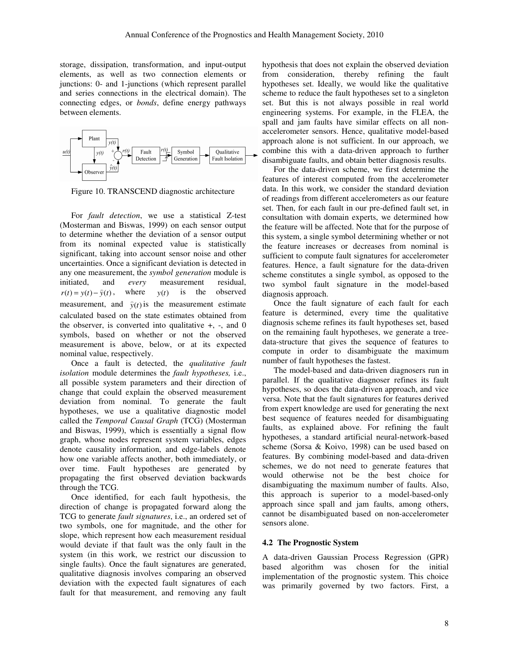storage, dissipation, transformation, and input-output elements, as well as two connection elements or junctions: 0- and 1-junctions (which represent parallel and series connections in the electrical domain). The connecting edges, or *bonds*, define energy pathways between elements.



Figure 10. TRANSCEND diagnostic architecture

 For *fault detection*, we use a statistical Z-test (Mosterman and Biswas, 1999) on each sensor output to determine whether the deviation of a sensor output from its nominal expected value is statistically significant, taking into account sensor noise and other uncertainties. Once a significant deviation is detected in any one measurement, the *symbol generation* module is initiated, and *every* measurement residual, *r*(*t*) =  $y(t) - \hat{y}(t)$ , where *y*(*t*) is the observed measurement, and  $\hat{y}(t)$  is the measurement estimate calculated based on the state estimates obtained from the observer, is converted into qualitative  $+, \,$ , and 0 symbols, based on whether or not the observed measurement is above, below, or at its expected nominal value, respectively.

 Once a fault is detected, the *qualitative fault isolation* module determines the *fault hypotheses,* i.e., all possible system parameters and their direction of change that could explain the observed measurement deviation from nominal. To generate the fault hypotheses, we use a qualitative diagnostic model called the *Temporal Causal Graph* (TCG) (Mosterman and Biswas, 1999), which is essentially a signal flow graph, whose nodes represent system variables, edges denote causality information, and edge-labels denote how one variable affects another, both immediately, or over time. Fault hypotheses are generated by propagating the first observed deviation backwards through the TCG.

 Once identified, for each fault hypothesis, the direction of change is propagated forward along the TCG to generate *fault signatures*, i.e., an ordered set of two symbols, one for magnitude, and the other for slope, which represent how each measurement residual would deviate if that fault was the only fault in the system (in this work, we restrict our discussion to single faults). Once the fault signatures are generated, qualitative diagnosis involves comparing an observed deviation with the expected fault signatures of each fault for that measurement, and removing any fault

hypothesis that does not explain the observed deviation from consideration, thereby refining the fault hypotheses set. Ideally, we would like the qualitative scheme to reduce the fault hypotheses set to a singleton set. But this is not always possible in real world engineering systems. For example, in the FLEA, the spall and jam faults have similar effects on all nonaccelerometer sensors. Hence, qualitative model-based approach alone is not sufficient. In our approach, we combine this with a data-driven approach to further disambiguate faults, and obtain better diagnosis results.

 For the data-driven scheme, we first determine the features of interest computed from the accelerometer data. In this work, we consider the standard deviation of readings from different accelerometers as our feature set. Then, for each fault in our pre-defined fault set, in consultation with domain experts, we determined how the feature will be affected. Note that for the purpose of this system, a single symbol determining whether or not the feature increases or decreases from nominal is sufficient to compute fault signatures for accelerometer features. Hence, a fault signature for the data-driven scheme constitutes a single symbol, as opposed to the two symbol fault signature in the model-based diagnosis approach.

 Once the fault signature of each fault for each feature is determined, every time the qualitative diagnosis scheme refines its fault hypotheses set, based on the remaining fault hypotheses, we generate a treedata-structure that gives the sequence of features to compute in order to disambiguate the maximum number of fault hypotheses the fastest.

 The model-based and data-driven diagnosers run in parallel. If the qualitative diagnoser refines its fault hypotheses, so does the data-driven approach, and vice versa. Note that the fault signatures for features derived from expert knowledge are used for generating the next best sequence of features needed for disambiguating faults, as explained above. For refining the fault hypotheses, a standard artificial neural-network-based scheme (Sorsa & Koivo, 1998) can be used based on features. By combining model-based and data-driven schemes, we do not need to generate features that would otherwise not be the best choice for disambiguating the maximum number of faults. Also, this approach is superior to a model-based-only approach since spall and jam faults, among others, cannot be disambiguated based on non-accelerometer sensors alone.

### **4.2 The Prognostic System**

A data-driven Gaussian Process Regression (GPR) based algorithm was chosen for the initial implementation of the prognostic system. This choice was primarily governed by two factors. First, a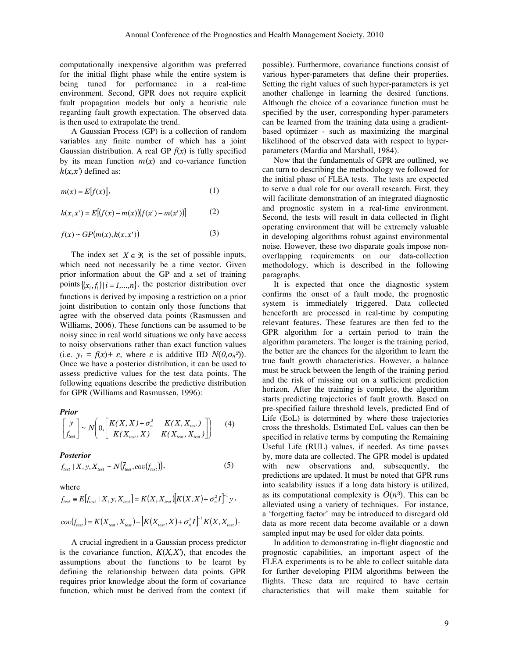computationally inexpensive algorithm was preferred for the initial flight phase while the entire system is being tuned for performance in a real-time environment. Second, GPR does not require explicit fault propagation models but only a heuristic rule regarding fault growth expectation. The observed data is then used to extrapolate the trend.

 A Gaussian Process (GP) is a collection of random variables any finite number of which has a joint Gaussian distribution. A real GP  $f(x)$  is fully specified by its mean function  $m(x)$  and co-variance function  $k(x,x)$  defined as:

$$
m(x) = E[f(x)],\tag{1}
$$

$$
k(x, x') = E[(f(x) - m(x))(f(x') - m(x'))]
$$
 (2)

$$
f(x) \sim GP\big(m(x), k(x, x')\big) \tag{3}
$$

The index set  $X \in \mathcal{R}$  is the set of possible inputs, which need not necessarily be a time vector. Given prior information about the GP and a set of training points  $\{(x_i, f_i) | i = 1, ..., n\}$ , the posterior distribution over functions is derived by imposing a restriction on a prior joint distribution to contain only those functions that agree with the observed data points (Rasmussen and Williams, 2006). These functions can be assumed to be noisy since in real world situations we only have access to noisy observations rather than exact function values (i.e.  $y_i = f(x) + \varepsilon$ , where  $\varepsilon$  is additive IID  $N(\theta, \sigma_n^2)$ ). Once we have a posterior distribution, it can be used to assess predictive values for the test data points. The following equations describe the predictive distribution for GPR (Williams and Rasmussen, 1996):

*Prior* 

$$
\begin{bmatrix} y \\ f_{test} \end{bmatrix} \sim N \left( 0, \begin{bmatrix} K(X,X) + \sigma_n^2 & K(X,X_{test}) \\ K(X_{test},X) & K(X_{test},X_{test}) \end{bmatrix} \right) \tag{4}
$$

#### *Posterior*

$$
f_{test} \mid X, y, X_{test} \sim N(\bar{f}_{test}, cov(f_{test}))
$$
\n<sup>(5)</sup>

where

$$
f_{test} = E[f_{test} | X, y, X_{test}] = K(X, X_{test}) [K(X, X) + \sigma_n^2 I]^{-1} y,
$$
  
\n
$$
cov(f_{test}) = K(X_{test}, X_{test}) - [K(X_{test}, X) + \sigma_n^2 I]^{-1} K(X, X_{test}).
$$

 A crucial ingredient in a Gaussian process predictor is the covariance function,  $K(X, X)$ , that encodes the assumptions about the functions to be learnt by defining the relationship between data points. GPR requires prior knowledge about the form of covariance function, which must be derived from the context (if

possible). Furthermore, covariance functions consist of various hyper-parameters that define their properties. Setting the right values of such hyper-parameters is yet another challenge in learning the desired functions. Although the choice of a covariance function must be specified by the user, corresponding hyper-parameters can be learned from the training data using a gradientbased optimizer - such as maximizing the marginal likelihood of the observed data with respect to hyperparameters (Mardia and Marshall, 1984).

 Now that the fundamentals of GPR are outlined, we can turn to describing the methodology we followed for the initial phase of FLEA tests. The tests are expected to serve a dual role for our overall research. First, they will facilitate demonstration of an integrated diagnostic and prognostic system in a real-time environment. Second, the tests will result in data collected in flight operating environment that will be extremely valuable in developing algorithms robust against environmental noise. However, these two disparate goals impose nonoverlapping requirements on our data-collection methodology, which is described in the following paragraphs.

 It is expected that once the diagnostic system confirms the onset of a fault mode, the prognostic system is immediately triggered. Data collected henceforth are processed in real-time by computing relevant features. These features are then fed to the GPR algorithm for a certain period to train the algorithm parameters. The longer is the training period, the better are the chances for the algorithm to learn the true fault growth characteristics. However, a balance must be struck between the length of the training period and the risk of missing out on a sufficient prediction horizon. After the training is complete, the algorithm starts predicting trajectories of fault growth. Based on pre-specified failure threshold levels, predicted End of Life (EoL) is determined by where these trajectories cross the thresholds. Estimated EoL values can then be specified in relative terms by computing the Remaining Useful Life (RUL) values, if needed. As time passes by, more data are collected. The GPR model is updated with new observations and, subsequently, the predictions are updated. It must be noted that GPR runs into scalability issues if a long data history is utilized, as its computational complexity is  $O(n^3)$ . This can be alleviated using a variety of techniques. For instance, a 'forgetting factor' may be introduced to disregard old data as more recent data become available or a down sampled input may be used for older data points.

 In addition to demonstrating in-flight diagnostic and prognostic capabilities, an important aspect of the FLEA experiments is to be able to collect suitable data for further developing PHM algorithms between the flights. These data are required to have certain characteristics that will make them suitable for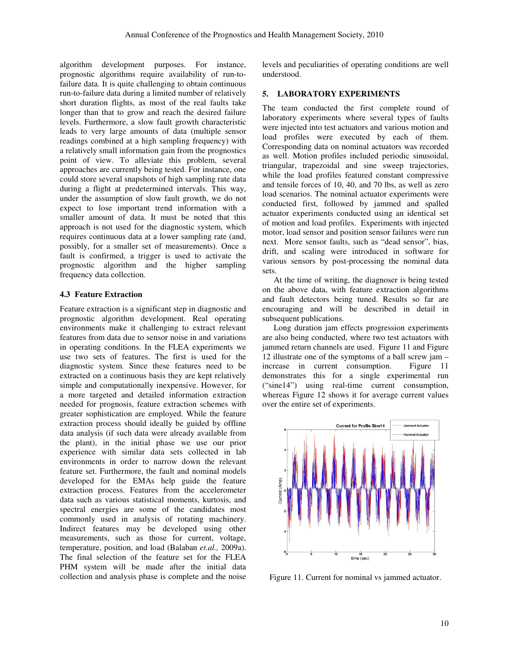algorithm development purposes. For instance, prognostic algorithms require availability of run-tofailure data. It is quite challenging to obtain continuous run-to-failure data during a limited number of relatively short duration flights, as most of the real faults take longer than that to grow and reach the desired failure levels. Furthermore, a slow fault growth characteristic leads to very large amounts of data (multiple sensor readings combined at a high sampling frequency) with a relatively small information gain from the prognostics point of view. To alleviate this problem, several approaches are currently being tested. For instance, one could store several snapshots of high sampling rate data during a flight at predetermined intervals. This way, under the assumption of slow fault growth, we do not expect to lose important trend information with a smaller amount of data. It must be noted that this approach is not used for the diagnostic system, which requires continuous data at a lower sampling rate (and, possibly, for a smaller set of measurements). Once a fault is confirmed, a trigger is used to activate the prognostic algorithm and the higher sampling frequency data collection.

## **4.3 Feature Extraction**

Feature extraction is a significant step in diagnostic and prognostic algorithm development. Real operating environments make it challenging to extract relevant features from data due to sensor noise in and variations in operating conditions. In the FLEA experiments we use two sets of features. The first is used for the diagnostic system. Since these features need to be extracted on a continuous basis they are kept relatively simple and computationally inexpensive. However, for a more targeted and detailed information extraction needed for prognosis, feature extraction schemes with greater sophistication are employed. While the feature extraction process should ideally be guided by offline data analysis (if such data were already available from the plant), in the initial phase we use our prior experience with similar data sets collected in lab environments in order to narrow down the relevant feature set. Furthermore, the fault and nominal models developed for the EMAs help guide the feature extraction process. Features from the accelerometer data such as various statistical moments, kurtosis, and spectral energies are some of the candidates most commonly used in analysis of rotating machinery. Indirect features may be developed using other measurements, such as those for current, voltage, temperature, position, and load (Balaban *et.al.,* 2009a). The final selection of the feature set for the FLEA PHM system will be made after the initial data collection and analysis phase is complete and the noise

levels and peculiarities of operating conditions are well understood.

## **5. LABORATORY EXPERIMENTS**

The team conducted the first complete round of laboratory experiments where several types of faults were injected into test actuators and various motion and load profiles were executed by each of them. Corresponding data on nominal actuators was recorded as well. Motion profiles included periodic sinusoidal, triangular, trapezoidal and sine sweep trajectories, while the load profiles featured constant compressive and tensile forces of 10, 40, and 70 lbs, as well as zero load scenarios. The nominal actuator experiments were conducted first, followed by jammed and spalled actuator experiments conducted using an identical set of motion and load profiles. Experiments with injected motor, load sensor and position sensor failures were run next. More sensor faults, such as "dead sensor", bias, drift, and scaling were introduced in software for various sensors by post-processing the nominal data sets.

 At the time of writing, the diagnoser is being tested on the above data, with feature extraction algorithms and fault detectors being tuned. Results so far are encouraging and will be described in detail in subsequent publications.

 Long duration jam effects progression experiments are also being conducted, where two test actuators with jammed return channels are used. Figure 11 and Figure 12 illustrate one of the symptoms of a ball screw jam – increase in current consumption. Figure 11 demonstrates this for a single experimental run ("sine14") using real-time current consumption, whereas Figure 12 shows it for average current values over the entire set of experiments.



Figure 11. Current for nominal vs jammed actuator.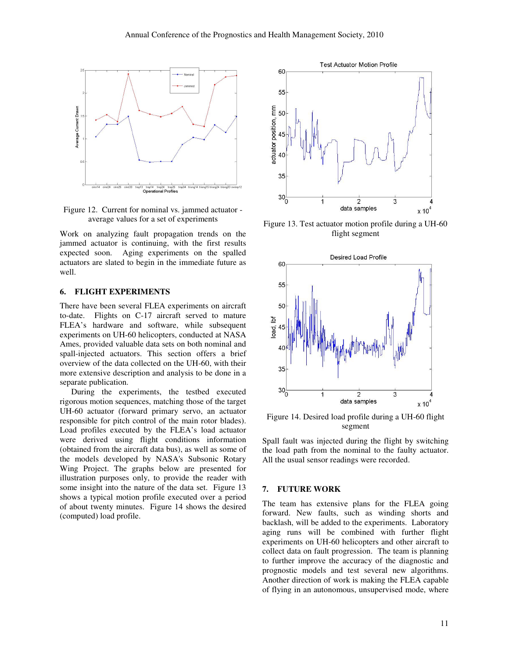

Figure 12. Current for nominal vs. jammed actuator average values for a set of experiments

Work on analyzing fault propagation trends on the jammed actuator is continuing, with the first results expected soon. Aging experiments on the spalled actuators are slated to begin in the immediate future as well.

### **6. FLIGHT EXPERIMENTS**

There have been several FLEA experiments on aircraft to-date. Flights on C-17 aircraft served to mature FLEA's hardware and software, while subsequent experiments on UH-60 helicopters, conducted at NASA Ames, provided valuable data sets on both nominal and spall-injected actuators. This section offers a brief overview of the data collected on the UH-60, with their more extensive description and analysis to be done in a separate publication.

 During the experiments, the testbed executed rigorous motion sequences, matching those of the target UH-60 actuator (forward primary servo, an actuator responsible for pitch control of the main rotor blades). Load profiles executed by the FLEA's load actuator were derived using flight conditions information (obtained from the aircraft data bus), as well as some of the models developed by NASA's Subsonic Rotary Wing Project. The graphs below are presented for illustration purposes only, to provide the reader with some insight into the nature of the data set. Figure 13 shows a typical motion profile executed over a period of about twenty minutes. Figure 14 shows the desired (computed) load profile.



Figure 13. Test actuator motion profile during a UH-60 flight segment



Figure 14. Desired load profile during a UH-60 flight segment

Spall fault was injected during the flight by switching the load path from the nominal to the faulty actuator. All the usual sensor readings were recorded.

#### **7. FUTURE WORK**

The team has extensive plans for the FLEA going forward. New faults, such as winding shorts and backlash, will be added to the experiments. Laboratory aging runs will be combined with further flight experiments on UH-60 helicopters and other aircraft to collect data on fault progression. The team is planning to further improve the accuracy of the diagnostic and prognostic models and test several new algorithms. Another direction of work is making the FLEA capable of flying in an autonomous, unsupervised mode, where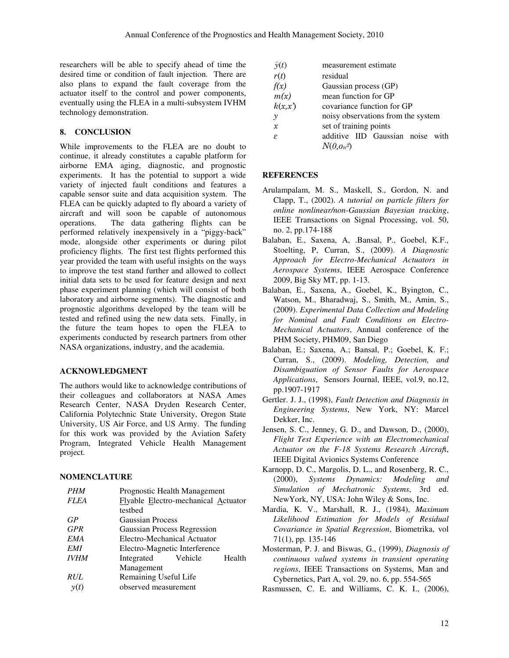researchers will be able to specify ahead of time the desired time or condition of fault injection. There are also plans to expand the fault coverage from the actuator itself to the control and power components, eventually using the FLEA in a multi-subsystem IVHM technology demonstration.

# **8. CONCLUSION**

While improvements to the FLEA are no doubt to continue, it already constitutes a capable platform for airborne EMA aging, diagnostic, and prognostic experiments. It has the potential to support a wide variety of injected fault conditions and features a capable sensor suite and data acquisition system. The FLEA can be quickly adapted to fly aboard a variety of aircraft and will soon be capable of autonomous operations. The data gathering flights can be performed relatively inexpensively in a "piggy-back" mode, alongside other experiments or during pilot proficiency flights. The first test flights performed this year provided the team with useful insights on the ways to improve the test stand further and allowed to collect initial data sets to be used for feature design and next phase experiment planning (which will consist of both laboratory and airborne segments). The diagnostic and prognostic algorithms developed by the team will be tested and refined using the new data sets. Finally, in the future the team hopes to open the FLEA to experiments conducted by research partners from other NASA organizations, industry, and the academia.

## **ACKNOWLEDGMENT**

The authors would like to acknowledge contributions of their colleagues and collaborators at NASA Ames Research Center, NASA Dryden Research Center, California Polytechnic State University, Oregon State University, US Air Force, and US Army. The funding for this work was provided by the Aviation Safety Program, Integrated Vehicle Health Management project.

# **NOMENCLATURE**

| <b>PHM</b>  | Prognostic Health Management        |        |
|-------------|-------------------------------------|--------|
| <i>FLEA</i> | Flyable Electro-mechanical Actuator |        |
|             | testbed                             |        |
| GP          | <b>Gaussian Process</b>             |        |
| <b>GPR</b>  | Gaussian Process Regression         |        |
| <b>EMA</b>  | Electro-Mechanical Actuator         |        |
| <b>EMI</b>  | Electro-Magnetic Interference       |        |
| <b>IVHM</b> | Integrated Vehicle                  | Health |
|             | Management                          |        |
| <i>RUL</i>  | Remaining Useful Life               |        |
| $\nu(t)$    | observed measurement                |        |

|               | measurement estimate               |  |  |  |  |  |
|---------------|------------------------------------|--|--|--|--|--|
| $\hat{y}(t)$  |                                    |  |  |  |  |  |
| r(t)          | residual                           |  |  |  |  |  |
| f(x)          | Gaussian process (GP)              |  |  |  |  |  |
| m(x)          | mean function for GP               |  |  |  |  |  |
| k(x,x)        | covariance function for GP         |  |  |  |  |  |
| $\mathcal{Y}$ | noisy observations from the system |  |  |  |  |  |
| $\mathcal{X}$ | set of training points             |  |  |  |  |  |
| E             | additive IID Gaussian noise with   |  |  |  |  |  |
|               | $N(\theta,\sigma_n^2)$             |  |  |  |  |  |

## **REFERENCES**

- Arulampalam, M. S., Maskell, S., Gordon, N. and Clapp, T., (2002). *A tutorial on particle filters for online nonlinear/non-Gaussian Bayesian tracking*, IEEE Transactions on Signal Processing, vol. 50, no. 2, pp.174-188
- Balaban, E., Saxena, A, .Bansal, P., Goebel, K.F., Stoelting, P, Curran, S., (2009). *A Diagnostic Approach for Electro-Mechanical Actuators in Aerospace Systems*, IEEE Aerospace Conference 2009, Big Sky MT, pp. 1-13.
- Balaban, E., Saxena, A., Goebel, K., Byington, C., Watson, M., Bharadwaj, S., Smith, M., Amin, S., (2009). *Experimental Data Collection and Modeling for Nominal and Fault Conditions on Electro-Mechanical Actuators*, Annual conference of the PHM Society, PHM09, San Diego
- Balaban, E.; Saxena, A.; Bansal, P.; Goebel, K. F.; Curran, S., (2009). *Modeling, Detection, and Disambiguation of Sensor Faults for Aerospace Applications*, Sensors Journal, IEEE, vol.9, no.12, pp.1907-1917
- Gertler. J. J., (1998), *Fault Detection and Diagnosis in Engineering Systems*, New York, NY: Marcel Dekker, Inc.
- Jensen, S. C., Jenney, G. D., and Dawson, D., (2000), *Flight Test Experience with an Electromechanical Actuator on the F-18 Systems Research Aircraf*t, IEEE Digital Avionics Systems Conference
- Karnopp, D. C., Margolis, D. L., and Rosenberg, R. C., (2000), *Systems Dynamics: Modeling and Simulation of Mechatronic Systems*, 3rd ed. NewYork, NY, USA: John Wiley & Sons, Inc.
- Mardia, K. V., Marshall, R. J., (1984), *Maximum Likelihood Estimation for Models of Residual Covariance in Spatial Regression*, Biometrika, vol 71(1), pp. 135-146
- Mosterman, P. J. and Biswas, G., (1999), *Diagnosis of continuous valued systems in transient operating regions*, IEEE Transactions on Systems, Man and Cybernetics, Part A, vol. 29, no. 6, pp. 554-565
- Rasmussen, C. E. and Williams, C. K. I., (2006),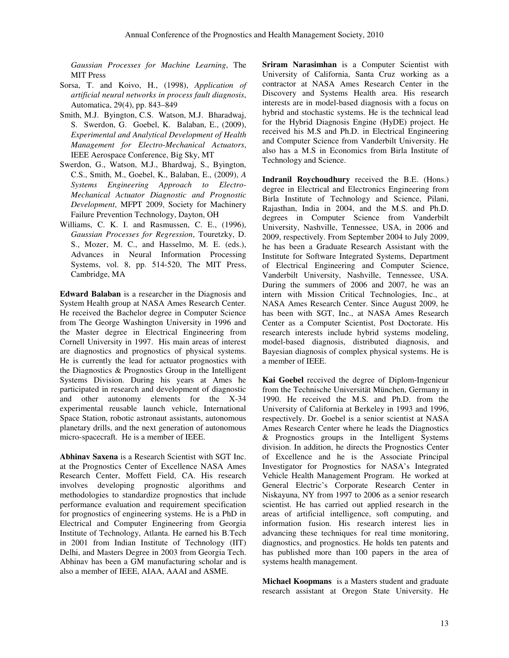*Gaussian Processes for Machine Learning*, The MIT Press

- Sorsa, T. and Koivo, H., (1998), *Application of artificial neural networks in process fault diagnosis*, Automatica, 29(4), pp. 843–849
- Smith, M.J. Byington, C.S. Watson, M.J. Bharadwaj, S. Swerdon, G. Goebel, K. Balaban, E., (2009), *Experimental and Analytical Development of Health Management for Electro-Mechanical Actuators*, IEEE Aerospace Conference, Big Sky, MT
- Swerdon, G., Watson, M.J., Bhardwaj, S., Byington, C.S., Smith, M., Goebel, K., Balaban, E., (2009), *A Systems Engineering Approach to Electro-Mechanical Actuator Diagnostic and Prognostic Development*, MFPT 2009, Society for Machinery Failure Prevention Technology, Dayton, OH
- Williams, C. K. I. and Rasmussen, C. E., (1996), *Gaussian Processes for Regression*, Touretzky, D. S., Mozer, M. C., and Hasselmo, M. E. (eds.), Advances in Neural Information Processing Systems, vol. 8, pp. 514-520, The MIT Press, Cambridge, MA

**Edward Balaban** is a researcher in the Diagnosis and System Health group at NASA Ames Research Center. He received the Bachelor degree in Computer Science from The George Washington University in 1996 and the Master degree in Electrical Engineering from Cornell University in 1997. His main areas of interest are diagnostics and prognostics of physical systems. He is currently the lead for actuator prognostics with the Diagnostics & Prognostics Group in the Intelligent Systems Division. During his years at Ames he participated in research and development of diagnostic and other autonomy elements for the X-34 experimental reusable launch vehicle, International Space Station, robotic astronaut assistants, autonomous planetary drills, and the next generation of autonomous micro-spacecraft. He is a member of IEEE.

**Abhinav Saxena** is a Research Scientist with SGT Inc. at the Prognostics Center of Excellence NASA Ames Research Center, Moffett Field, CA. His research involves developing prognostic algorithms and methodologies to standardize prognostics that include performance evaluation and requirement specification for prognostics of engineering systems. He is a PhD in Electrical and Computer Engineering from Georgia Institute of Technology, Atlanta. He earned his B.Tech in 2001 from Indian Institute of Technology (IIT) Delhi, and Masters Degree in 2003 from Georgia Tech. Abhinav has been a GM manufacturing scholar and is also a member of IEEE, AIAA, AAAI and ASME.

**Sriram Narasimhan** is a Computer Scientist with University of California, Santa Cruz working as a contractor at NASA Ames Research Center in the Discovery and Systems Health area. His research interests are in model-based diagnosis with a focus on hybrid and stochastic systems. He is the technical lead for the Hybrid Diagnosis Engine (HyDE) project. He received his M.S and Ph.D. in Electrical Engineering and Computer Science from Vanderbilt University. He also has a M.S in Economics from Birla Institute of Technology and Science.

**Indranil Roychoudhury** received the B.E. (Hons.) degree in Electrical and Electronics Engineering from Birla Institute of Technology and Science, Pilani, Rajasthan, India in 2004, and the M.S. and Ph.D. degrees in Computer Science from Vanderbilt University, Nashville, Tennessee, USA, in 2006 and 2009, respectively. From September 2004 to July 2009, he has been a Graduate Research Assistant with the Institute for Software Integrated Systems, Department of Electrical Engineering and Computer Science, Vanderbilt University, Nashville, Tennessee, USA. During the summers of 2006 and 2007, he was an intern with Mission Critical Technologies, Inc., at NASA Ames Research Center. Since August 2009, he has been with SGT, Inc., at NASA Ames Research Center as a Computer Scientist, Post Doctorate. His research interests include hybrid systems modeling, model-based diagnosis, distributed diagnosis, and Bayesian diagnosis of complex physical systems. He is a member of IEEE.

**Kai Goebel** received the degree of Diplom-Ingenieur from the Technische Universität München, Germany in 1990. He received the M.S. and Ph.D. from the University of California at Berkeley in 1993 and 1996, respectively. Dr. Goebel is a senior scientist at NASA Ames Research Center where he leads the Diagnostics & Prognostics groups in the Intelligent Systems division. In addition, he directs the Prognostics Center of Excellence and he is the Associate Principal Investigator for Prognostics for NASA's Integrated Vehicle Health Management Program. He worked at General Electric's Corporate Research Center in Niskayuna, NY from 1997 to 2006 as a senior research scientist. He has carried out applied research in the areas of artificial intelligence, soft computing, and information fusion. His research interest lies in advancing these techniques for real time monitoring, diagnostics, and prognostics. He holds ten patents and has published more than 100 papers in the area of systems health management.

**Michael Koopmans** is a Masters student and graduate research assistant at Oregon State University. He